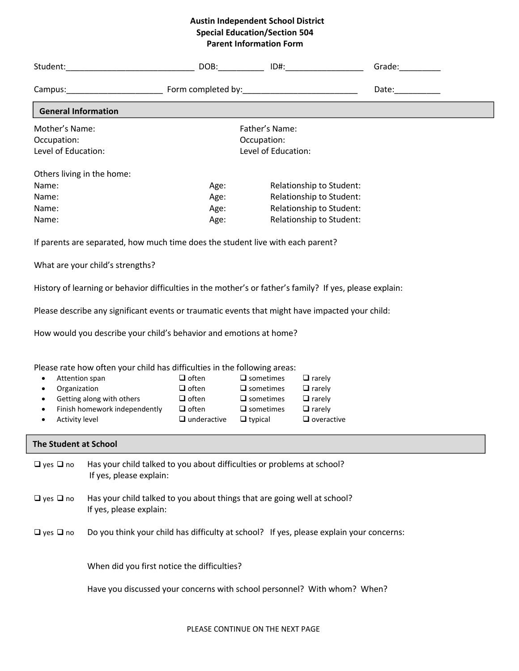## **Austin Independent School District Special Education/Section 504 Parent Information Form**

|                              |                                                                                                          |                    |                     |                          | Grade: 1988                                                                                                                                                                                                                    |  |
|------------------------------|----------------------------------------------------------------------------------------------------------|--------------------|---------------------|--------------------------|--------------------------------------------------------------------------------------------------------------------------------------------------------------------------------------------------------------------------------|--|
|                              |                                                                                                          |                    |                     |                          | Date: the contract of the contract of the contract of the contract of the contract of the contract of the contract of the contract of the contract of the contract of the contract of the contract of the contract of the cont |  |
| <b>General Information</b>   |                                                                                                          |                    |                     |                          |                                                                                                                                                                                                                                |  |
| Mother's Name:               |                                                                                                          |                    | Father's Name:      |                          |                                                                                                                                                                                                                                |  |
| Occupation:                  | Occupation:                                                                                              |                    |                     |                          |                                                                                                                                                                                                                                |  |
| Level of Education:          |                                                                                                          |                    |                     |                          |                                                                                                                                                                                                                                |  |
|                              | Others living in the home:                                                                               |                    |                     |                          |                                                                                                                                                                                                                                |  |
| Name:                        |                                                                                                          | Age:               |                     | Relationship to Student: |                                                                                                                                                                                                                                |  |
| Name:                        |                                                                                                          | Age:               |                     | Relationship to Student: |                                                                                                                                                                                                                                |  |
| Name:                        |                                                                                                          | Age:               |                     | Relationship to Student: |                                                                                                                                                                                                                                |  |
| Name:                        |                                                                                                          | Age:               |                     | Relationship to Student: |                                                                                                                                                                                                                                |  |
|                              | If parents are separated, how much time does the student live with each parent?                          |                    |                     |                          |                                                                                                                                                                                                                                |  |
|                              | What are your child's strengths?                                                                         |                    |                     |                          |                                                                                                                                                                                                                                |  |
|                              | History of learning or behavior difficulties in the mother's or father's family? If yes, please explain: |                    |                     |                          |                                                                                                                                                                                                                                |  |
|                              | Please describe any significant events or traumatic events that might have impacted your child:          |                    |                     |                          |                                                                                                                                                                                                                                |  |
|                              | How would you describe your child's behavior and emotions at home?                                       |                    |                     |                          |                                                                                                                                                                                                                                |  |
|                              |                                                                                                          |                    |                     |                          |                                                                                                                                                                                                                                |  |
|                              |                                                                                                          |                    |                     |                          |                                                                                                                                                                                                                                |  |
|                              | Please rate how often your child has difficulties in the following areas:                                |                    |                     |                          |                                                                                                                                                                                                                                |  |
| Attention span<br>$\bullet$  |                                                                                                          | $\Box$ often       | $\square$ sometimes | $\Box$ rarely            |                                                                                                                                                                                                                                |  |
| Organization<br>$\bullet$    |                                                                                                          | $\Box$ often       | $\square$ sometimes | $\Box$ rarely            |                                                                                                                                                                                                                                |  |
| $\bullet$                    | Getting along with others                                                                                | $\Box$ often       | $\square$ sometimes | $\Box$ rarely            |                                                                                                                                                                                                                                |  |
| $\bullet$                    | Finish homework independently                                                                            | $\Box$ often       | $\square$ sometimes | $\Box$ rarely            |                                                                                                                                                                                                                                |  |
| Activity level<br>$\bullet$  |                                                                                                          | $\Box$ underactive | $\Box$ typical      | $\Box$ overactive        |                                                                                                                                                                                                                                |  |
| <b>The Student at School</b> |                                                                                                          |                    |                     |                          |                                                                                                                                                                                                                                |  |
| $\Box$ yes $\Box$ no         | Has your child talked to you about difficulties or problems at school?<br>If yes, please explain:        |                    |                     |                          |                                                                                                                                                                                                                                |  |
| $\Box$ yes $\Box$ no         | Has your child talked to you about things that are going well at school?<br>If yes, please explain:      |                    |                     |                          |                                                                                                                                                                                                                                |  |
| $\Box$ yes $\Box$ no         | Do you think your child has difficulty at school? If yes, please explain your concerns:                  |                    |                     |                          |                                                                                                                                                                                                                                |  |
|                              | When did you first notice the difficulties?                                                              |                    |                     |                          |                                                                                                                                                                                                                                |  |